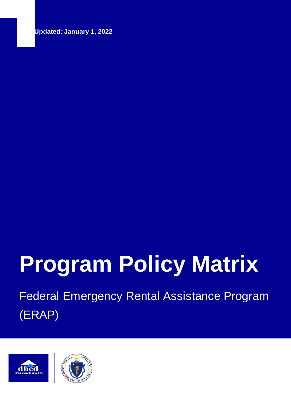**Last Updated: January 1, 2022**

# **Program Policy Matrix**

Federal Emergency Rental Assistance Program (ERAP)



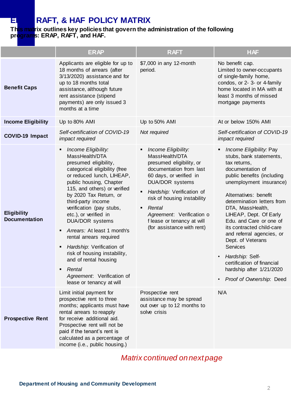## **ERAPT, & HAF POLICY MATRIX**

#### **This matrix outlines key policies that govern the administration of the following programs: ERAP, RAFT, and HAF.**

|                                            | <b>ERAP</b>                                                                                                                                                                                                                                                                                                                                                                                                                                                                                                                                                     | <b>RAFT</b>                                                                                                                                                                                                                                                                                                              | <b>HAF</b>                                                                                                                                                                                                                                                                                                                                                                                                                                                                                                                |
|--------------------------------------------|-----------------------------------------------------------------------------------------------------------------------------------------------------------------------------------------------------------------------------------------------------------------------------------------------------------------------------------------------------------------------------------------------------------------------------------------------------------------------------------------------------------------------------------------------------------------|--------------------------------------------------------------------------------------------------------------------------------------------------------------------------------------------------------------------------------------------------------------------------------------------------------------------------|---------------------------------------------------------------------------------------------------------------------------------------------------------------------------------------------------------------------------------------------------------------------------------------------------------------------------------------------------------------------------------------------------------------------------------------------------------------------------------------------------------------------------|
| <b>Benefit Caps</b>                        | Applicants are eligible for up to<br>18 months of arrears (after<br>3/13/2020) assistance and for<br>up to 18 months total<br>assistance, although future<br>rent assistance (stipend<br>payments) are only issued 3<br>months at a time                                                                                                                                                                                                                                                                                                                        | \$7,000 in any 12-month<br>period.                                                                                                                                                                                                                                                                                       | No benefit cap.<br>Limited to owner-occupants<br>of single-family home,<br>condos, or 2- 3- or 4-family<br>home located in MA with at<br>least 3 months of missed<br>mortgage payments                                                                                                                                                                                                                                                                                                                                    |
| <b>Income Eligibility</b>                  | Up to 80% AMI                                                                                                                                                                                                                                                                                                                                                                                                                                                                                                                                                   | Up to 50% AMI                                                                                                                                                                                                                                                                                                            | At or below 150% AMI                                                                                                                                                                                                                                                                                                                                                                                                                                                                                                      |
| <b>COVID-19 Impact</b>                     | Self-certification of COVID-19<br>impact required                                                                                                                                                                                                                                                                                                                                                                                                                                                                                                               | Not required                                                                                                                                                                                                                                                                                                             | Self-certification of COVID-19<br>impact required                                                                                                                                                                                                                                                                                                                                                                                                                                                                         |
| <b>Eligibility</b><br><b>Documentation</b> | Income Eligibility:<br>٠<br>MassHealth/DTA<br>presumed eligibility,<br>categorical eligibility (free<br>or reduced lunch, LIHEAP,<br>public housing, Chapter<br>115, and others) or verified<br>by 2020 Tax Return, or<br>third-party income<br>verification (pay stubs,<br>etc.), or verified in<br>DUA/DOR systems<br>Arrears: At least 1 month's<br>rental arrears required<br>Hardship: Verification of<br>٠<br>risk of housing instability,<br>and of rental housing<br>Rental<br>$\blacksquare$<br>Agreement: Verification of<br>lease or tenancy at will | Income Eligibility:<br>٠<br>MassHealth/DTA<br>presumed eligibility, or<br>documentation from last<br>60 days, or verified in<br>DUA/DOR systems<br>Hardship: Verification of<br>٠<br>risk of housing instability<br>Rental<br>٠<br>Agreement: Verification o<br>f lease or tenancy at will<br>(for assistance with rent) | Income Eligibility: Pay<br>٠<br>stubs, bank statements,<br>tax returns,<br>documentation of<br>public benefits (including<br>unemployment insurance)<br>Alternatives: benefit<br>determination letters from<br>DTA, MassHealth,<br>LIHEAP, Dept. Of Early<br>Edu. and Care or one of<br>its contracted child-care<br>and referral agencies, or<br>Dept. of Veterans<br><b>Services</b><br>Hardship: Self-<br>$\bullet$<br>certification of financial<br>hardship after 1/21/2020<br>Proof of Ownership: Deed<br>$\bullet$ |
| <b>Prospective Rent</b>                    | Limit initial payment for<br>prospective rent to three<br>months; applicants must have<br>rental arrears to reapply<br>for receive additional aid.<br>Prospective rent will not be<br>paid if the tenant's rent is<br>calculated as a percentage of<br>income (i.e., public housing.)                                                                                                                                                                                                                                                                           | Prospective rent<br>assistance may be spread<br>out over up to 12 months to<br>solve crisis                                                                                                                                                                                                                              | N/A                                                                                                                                                                                                                                                                                                                                                                                                                                                                                                                       |

## *Matrix continued on next page*